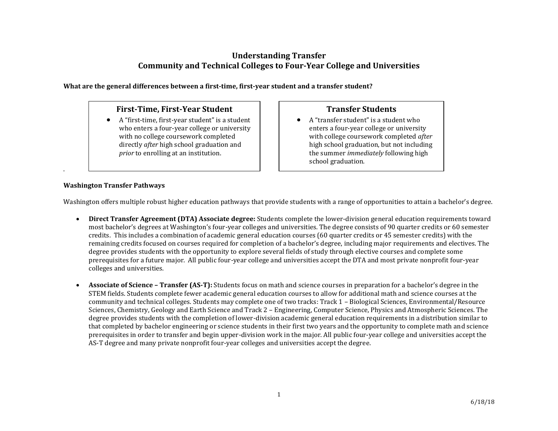# **Understanding Transfer Community and Technical Colleges to Four-Year College and Universities**

**What are the general differences between a first-time, first-year student and a transfer student?**

# **First-Time, First-Year Student**

 A "first-time, first-year student" is a student who enters a four-year college or university with no college coursework completed directly *after* high school graduation and *prior* to enrolling at an institution.

# **Transfer Students**

 A "transfer student" is a student who enters a four-year college or university with college coursework completed *after* high school graduation, but not including the summer *immediately* following high school graduation.

# **Washington Transfer Pathways**

.

Washington offers multiple robust higher education pathways that provide students with a range of opportunities to attain a bachelor's degree.

- **Direct Transfer Agreement (DTA) Associate degree:** Students complete the lower-division general education requirements toward most bachelor's degrees at Washington's four-year colleges and universities. The degree consists of 90 quarter credits or 60 semester credits. This includes a combination of academic general education courses (60 quarter credits or 45 semester credits) with the remaining credits focused on courses required for completion of a bachelor's degree, including major requirements and electives. The degree provides students with the opportunity to explore several fields of study through elective courses and complete some prerequisites for a future major. All public four-year college and universities accept the DTA and most private nonprofit four-year colleges and universities.
- **Associate of Science – Transfer (AS-T):** Students focus on math and science courses in preparation for a bachelor's degree in the STEM fields. Students complete fewer academic general education courses to allow for additional math and science courses at the community and technical colleges. Students may complete one of two tracks: Track 1 – Biological Sciences, Environmental/Resource Sciences, Chemistry, Geology and Earth Science and Track 2 – Engineering, Computer Science, Physics and Atmospheric Sciences. The degree provides students with the completion of lower-division academic general education requirements in a distribution similar to that completed by bachelor engineering or science students in their first two years and the opportunity to complete math and science prerequisites in order to transfer and begin upper-division work in the major. All public four-year college and universities accept the AS-T degree and many private nonprofit four-year colleges and universities accept the degree.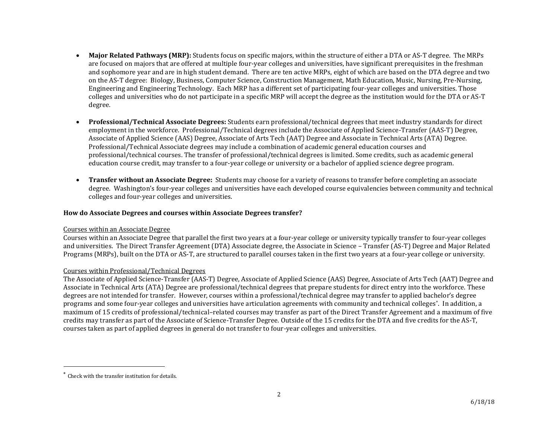- **Major Related Pathways (MRP):** Students focus on specific majors, within the structure of either a DTA or AS-T degree. The MRPs are focused on majors that are offered at multiple four-year colleges and universities, have significant prerequisites in the freshman and sophomore year and are in high student demand. There are ten active MRPs, eight of which are based on the DTA degree and two on the AS-T degree: Biology, Business, Computer Science, Construction Management, Math Education, Music, Nursing, Pre-Nursing, Engineering and Engineering Technology. Each MRP has a different set of participating four-year colleges and universities. Those colleges and universities who do not participate in a specific MRP will accept the degree as the institution would for the DTA or AS-T degree.
- **Professional/Technical Associate Degrees:** Students earn professional/technical degrees that meet industry standards for direct employment in the workforce. Professional/Technical degrees include the Associate of Applied Science-Transfer (AAS-T) Degree, Associate of Applied Science (AAS) Degree, Associate of Arts Tech (AAT) Degree and Associate in Technical Arts (ATA) Degree. Professional/Technical Associate degrees may include a combination of academic general education courses and professional/technical courses. The transfer of professional/technical degrees is limited. Some credits, such as academic general education course credit, may transfer to a four-year college or university or a bachelor of applied science degree program.
- **Transfer without an Associate Degree:** Students may choose for a variety of reasons to transfer before completing an associate degree. Washington's four-year colleges and universities have each developed course equivalencies between community and technical colleges and four-year colleges and universities.

## **How do Associate Degrees and courses within Associate Degrees transfer?**

#### Courses within an Associate Degree

Courses within an Associate Degree that parallel the first two years at a four-year college or university typically transfer to four-year colleges and universities. The Direct Transfer Agreement (DTA) Associate degree, the Associate in Science – Transfer (AS-T) Degree and Major Related Programs (MRPs), built on the DTA or AS-T, are structured to parallel courses taken in the first two years at a four-year college or university.

#### Courses within Professional/Technical Degrees

The Associate of Applied Science-Transfer (AAS-T) Degree, Associate of Applied Science (AAS) Degree, Associate of Arts Tech (AAT) Degree and Associate in Technical Arts (ATA) Degree are professional/technical degrees that prepare students for direct entry into the workforce. These degrees are not intended for transfer. However, courses within a professional/technical degree may transfer to applied bachelor's degree programs and some four-year colleges and universities have articulation agreements with community and technical colleges\* . In addition, a maximum of 15 credits of professional/technical–related courses may transfer as part of the Direct Transfer Agreement and a maximum of five credits may transfer as part of the Associate of Science-Transfer Degree. Outside of the 15 credits for the DTA and five credits for the AS-T, courses taken as part of applied degrees in general do not transfer to four-year colleges and universities.

l

Check with the transfer institution for details.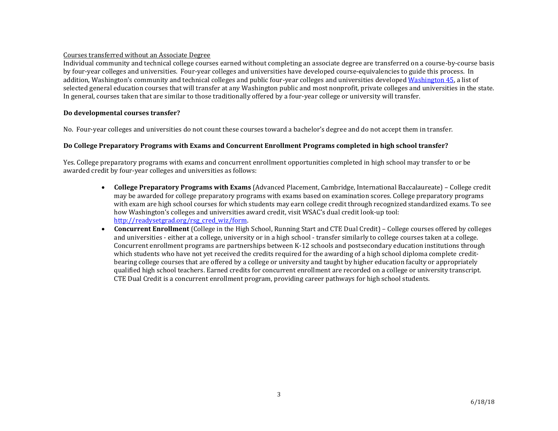## Courses transferred without an Associate Degree

Individual community and technical college courses earned without completing an associate degree are transferred on a course-by-course basis by four-year colleges and universities. Four-year colleges and universities have developed course-equivalencies to guide this process. In addition, Washington's community and technical colleges and public four-year colleges and universities develope[d Washington 45,](https://www.sbctc.edu/resources/documents/colleges-staff/programs-services/transfer/wa45_final-2012.pdf) a list of selected general education courses that will transfer at any Washington public and most nonprofit, private colleges and universities in the state. In general, courses taken that are similar to those traditionally offered by a four-year college or university will transfer.

## **Do developmental courses transfer?**

No. Four-year colleges and universities do not count these courses toward a bachelor's degree and do not accept them in transfer.

## **Do College Preparatory Programs with Exams and Concurrent Enrollment Programs completed in high school transfer?**

Yes. College preparatory programs with exams and concurrent enrollment opportunities completed in high school may transfer to or be awarded credit by four-year colleges and universities as follows:

- **College Preparatory Programs with Exams** (Advanced Placement, Cambridge, International Baccalaureate) College credit may be awarded for college preparatory programs with exams based on examination scores. College preparatory programs with exam are high school courses for which students may earn college credit through recognized standardized exams. To see how Washington's colleges and universities award credit, visit WSAC's dual credit look-up tool: [http://readysetgrad.org/rsg\\_cred\\_wiz/form.](http://readysetgrad.org/rsg_cred_wiz/form)
- **Concurrent Enrollment** (College in the High School, Running Start and CTE Dual Credit) College courses offered by colleges and universities - either at a college, university or in a high school - transfer similarly to college courses taken at a college. Concurrent enrollment programs are partnerships between K-12 schools and postsecondary education institutions through which students who have not yet received the credits required for the awarding of a high school diploma complete creditbearing college courses that are offered by a college or university and taught by higher education faculty or appropriately qualified high school teachers. Earned credits for concurrent enrollment are recorded on a college or university transcript. CTE Dual Credit is a concurrent enrollment program, providing career pathways for high school students.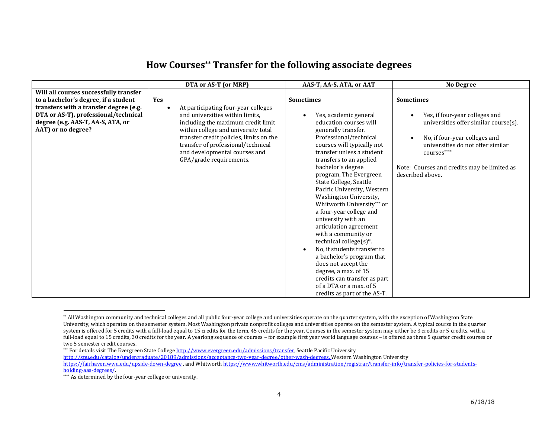|                                        | DTA or AS-T (or MRP)                             | AAS-T, AA-S, ATA, or AAT                                          | <b>No Degree</b>                                                  |
|----------------------------------------|--------------------------------------------------|-------------------------------------------------------------------|-------------------------------------------------------------------|
| Will all courses successfully transfer |                                                  |                                                                   |                                                                   |
| to a bachelor's degree, if a student   | Yes                                              | <b>Sometimes</b>                                                  | <b>Sometimes</b>                                                  |
| transfers with a transfer degree (e.g. | At participating four-year colleges<br>$\bullet$ |                                                                   |                                                                   |
| DTA or AS-T), professional/technical   | and universities within limits.                  | Yes, academic general                                             | Yes, if four-year colleges and                                    |
| degree (e.g. AAS-T, AA-S, ATA, or      | including the maximum credit limit               | education courses will                                            | universities offer similar course(s).                             |
| AAT) or no degree?                     | within college and university total              | generally transfer.                                               |                                                                   |
|                                        |                                                  | transfer credit policies, limits on the<br>Professional/technical | No, if four-year colleges and                                     |
|                                        | transfer of professional/technical               |                                                                   | courses will typically not<br>universities do not offer similar   |
|                                        | and developmental courses and                    |                                                                   | transfer unless a student<br>$\,$ courses $\,^{\ast\ast\ast\ast}$ |
|                                        | GPA/grade requirements.                          | transfers to an applied                                           |                                                                   |
|                                        |                                                  | bachelor's degree                                                 | Note: Courses and credits may be limited as                       |
|                                        |                                                  |                                                                   | program, The Evergreen<br>described above.                        |
|                                        |                                                  | State College, Seattle                                            |                                                                   |
|                                        |                                                  |                                                                   | Pacific University, Western                                       |
|                                        |                                                  |                                                                   | Washington University,                                            |
|                                        |                                                  |                                                                   | Whitworth University*** or                                        |
|                                        |                                                  | a four-year college and                                           |                                                                   |
|                                        |                                                  | university with an                                                |                                                                   |
|                                        |                                                  |                                                                   | articulation agreement                                            |
|                                        |                                                  | with a community or                                               |                                                                   |
|                                        |                                                  | technical college $(s)^*$ .                                       |                                                                   |
|                                        |                                                  |                                                                   | No, if students transfer to                                       |
|                                        |                                                  |                                                                   | a bachelor's program that                                         |
|                                        |                                                  | does not accept the                                               |                                                                   |
|                                        |                                                  | degree, a max. of 15                                              |                                                                   |
|                                        |                                                  |                                                                   | credits can transfer as part                                      |
|                                        |                                                  | of a DTA or a max, of 5                                           |                                                                   |
|                                        |                                                  |                                                                   | credits as part of the AS-T.                                      |

# **How Courses \*\* Transfer for the following associate degrees**

l

<sup>\*\*</sup> All Washington community and technical colleges and all public four-year college and universities operate on the quarter system, with the exception of Washington State University, which operates on the semester system. Most Washington private nonprofit colleges and universities operate on the semester system. A typical course in the quarter system is offered for 5 credits with a full-load equal to 15 credits for the term, 45 credits for the year. Courses in the semester system may either be 3 credits or 5 credits, with a full-load equal to 15 credits, 30 credits for the year. A yearlong sequence of courses - for example first year world language courses - is offered as three 5 quarter credit courses or two 5 semester credit courses.

<sup>\*\*\*</sup> For details visit The Evergreen State College http://www.evergreen.edu/admissions/transfer. Seattle Pacific University [http://spu.edu/catalog/undergraduate/20189/admissions/acceptance-two-year-degree/other-wash-degrees,](http://spu.edu/catalog/undergraduate/20189/admissions/acceptance-two-year-degree/other-wash-degrees) Western Washington University

<https://fairhaven.wwu.edu/upside-down-degree>, and Whitwort[h https://www.whitworth.edu/cms/administration/registrar/transfer-info/transfer-policies-for-students](https://www.whitworth.edu/cms/administration/registrar/transfer-info/transfer-policies-for-students-holding-aas-degrees/)[holding-aas-degrees/.](https://www.whitworth.edu/cms/administration/registrar/transfer-info/transfer-policies-for-students-holding-aas-degrees/)

<sup>\*\*\*\*</sup> As determined by the four-year college or university.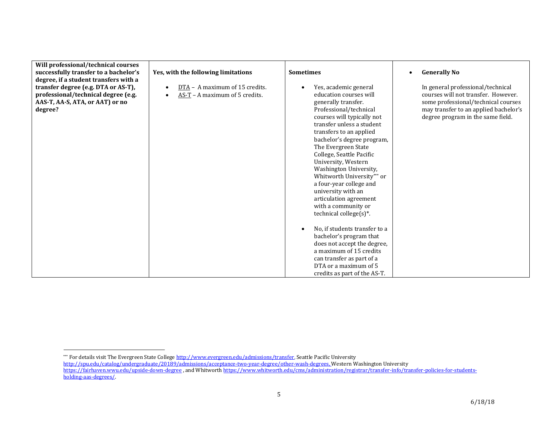| Will professional/technical courses<br>successfully transfer to a bachelor's<br>degree, if a student transfers with a<br>transfer degree (e.g. DTA or AS-T),<br>professional/technical degree (e.g. | Yes, with the following limitations<br>DTA - A maximum of 15 credits.<br>$AS-T - A$ maximum of 5 credits.<br>$\bullet$ | <b>Sometimes</b><br>Yes, academic general<br>education courses will                                                                                                                                                                                                                                                                                                                                                                                                                                                                                                                                                                                           | <b>Generally No</b><br>$\bullet$<br>In general professional/technical<br>courses will not transfer. However.      |
|-----------------------------------------------------------------------------------------------------------------------------------------------------------------------------------------------------|------------------------------------------------------------------------------------------------------------------------|---------------------------------------------------------------------------------------------------------------------------------------------------------------------------------------------------------------------------------------------------------------------------------------------------------------------------------------------------------------------------------------------------------------------------------------------------------------------------------------------------------------------------------------------------------------------------------------------------------------------------------------------------------------|-------------------------------------------------------------------------------------------------------------------|
| AAS-T, AA-S, ATA, or AAT) or no<br>degree?                                                                                                                                                          |                                                                                                                        | generally transfer.<br>Professional/technical<br>courses will typically not<br>transfer unless a student<br>transfers to an applied<br>bachelor's degree program,<br>The Evergreen State<br>College, Seattle Pacific<br>University, Western<br>Washington University,<br>Whitworth University*** or<br>a four-year college and<br>university with an<br>articulation agreement<br>with a community or<br>technical college $(s)^*$ .<br>No, if students transfer to a<br>$\bullet$<br>bachelor's program that<br>does not accept the degree,<br>a maximum of 15 credits<br>can transfer as part of a<br>DTA or a maximum of 5<br>credits as part of the AS-T. | some professional/technical courses<br>may transfer to an applied bachelor's<br>degree program in the same field. |

 $\overline{a}$ 

<sup>\*\*\*</sup> For details visit The Evergreen State College <u>http://www.evergreen.edu/admissions/transfer</u>, Seattle Pacific University

[http://spu.edu/catalog/undergraduate/20189/admissions/acceptance-two-year-degree/other-wash-degrees,](http://spu.edu/catalog/undergraduate/20189/admissions/acceptance-two-year-degree/other-wash-degrees) Western Washington University

<https://fairhaven.wwu.edu/upside-down-degree> , and Whitwort[h https://www.whitworth.edu/cms/administration/registrar/transfer-info/transfer-policies-for-students](https://www.whitworth.edu/cms/administration/registrar/transfer-info/transfer-policies-for-students-holding-aas-degrees/)[holding-aas-degrees/.](https://www.whitworth.edu/cms/administration/registrar/transfer-info/transfer-policies-for-students-holding-aas-degrees/)